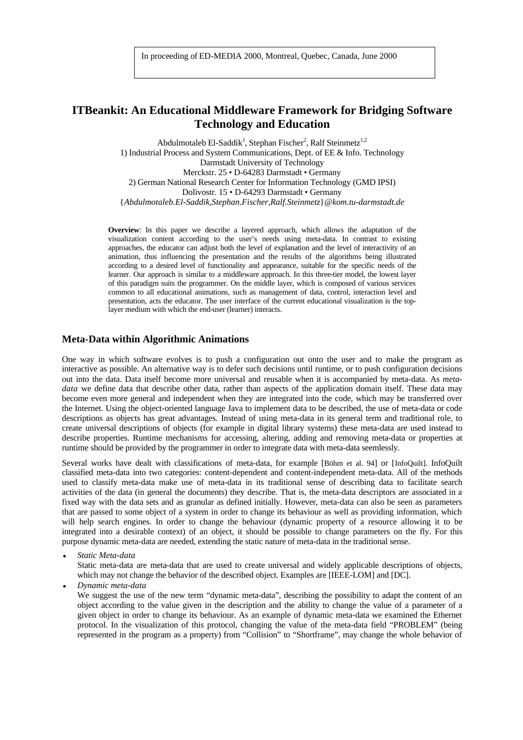# **ITBeankit: An Educational Middleware Framework for Bridging Software Technology and Education**

Abdulmotaleb El-Saddik<sup>1</sup>, Stephan Fischer<sup>2</sup>, Ralf Steinmetz<sup>1,2</sup> 1) Industrial Process and System Communications, Dept. of EE & Info. Technology Darmstadt University of Technology Merckstr. 25 • D-64283 Darmstadt • Germany 2) German National Research Center for Information Technology (GMD IPSI) Dolivostr. 15 • D-64293 Darmstadt • Germany {*Abdulmotaleb.El-Saddik,Stephan.Fischer,Ralf.Steinmetz*}*@kom.tu-darmstadt.de*

**Overview**: In this paper we describe a layered approach, which allows the adaptation of the visualization content according to the user's needs using meta-data. In contrast to existing approaches, the educator can adjust both the level of explanation and the level of interactivity of an animation, thus influencing the presentation and the results of the algorithms being illustrated according to a desired level of functionality and appearance, suitable for the specific needs of the learner. Our approach is similar to a middleware approach. In this three-tier model, the lowest layer of this paradigm suits the programmer. On the middle layer, which is composed of various services common to all educational animations, such as management of data, control, interaction level and presentation, acts the educator. The user interface of the current educational visualization is the toplayer medium with which the end-user (learner) interacts.

#### **Meta-Data within Algorithmic Animations**

One way in which software evolves is to push a configuration out onto the user and to make the program as interactive as possible. An alternative way is to defer such decisions until runtime, or to push configuration decisions out into the data. Data itself become more universal and reusable when it is accompanied by meta-data. As *metadata* we define data that describe other data, rather than aspects of the application domain itself. These data may become even more general and independent when they are integrated into the code, which may be transferred over the Internet. Using the object-oriented language Java to implement data to be described, the use of meta-data or code descriptions as objects has great advantages. Instead of using meta-data in its general term and traditional role, to create universal descriptions of objects (for example in digital library systems) these meta-data are used instead to describe properties. Runtime mechanisms for accessing, altering, adding and removing meta-data or properties at runtime should be provided by the programmer in order to integrate data with meta-data seemlessly.

Several works have dealt with classifications of meta-data, for example [Böhm et al. 94] or [InfoQuilt]. InfoQuilt classified meta-data into two categories: content-dependent and content-independent meta-data. All of the methods used to classify meta-data make use of meta-data in its traditional sense of describing data to facilitate search activities of the data (in general the documents) they describe. That is, the meta-data descriptors are associated in a fixed way with the data sets and as granular as defined initially. However, meta-data can also be seen as parameters that are passed to some object of a system in order to change its behaviour as well as providing information, which will help search engines. In order to change the behaviour (dynamic property of a resource allowing it to be integrated into a desirable context) of an object, it should be possible to change parameters on the fly. For this purpose dynamic meta-data are needed, extending the static nature of meta-data in the traditional sense.

• *Static Meta-data*

Static meta-data are meta-data that are used to create universal and widely applicable descriptions of objects, which may not change the behavior of the described object. Examples are [IEEE-LOM] and [DC].

• *Dynamic meta-data*

We suggest the use of the new term "dynamic meta-data", describing the possibility to adapt the content of an object according to the value given in the description and the ability to change the value of a parameter of a given object in order to change its behaviour. As an example of dynamic meta-data we examined the Ethernet protocol. In the visualization of this protocol, changing the value of the meta-data field "PROBLEM" (being represented in the program as a property) from "Collision" to "Shortframe", may change the whole behavior of